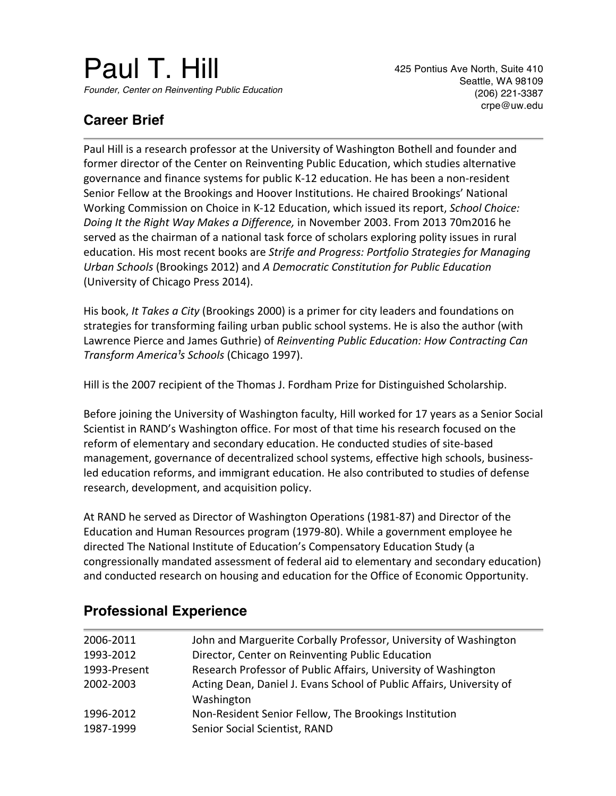# Paul T. Hill *Founder, Center on Reinventing Public Education*

425 Pontius Ave North, Suite 410 Seattle, WA 98109 (206) 221-3387 crpe@uw.edu

## **Career Brief**

Paul Hill is a research professor at the University of Washington Bothell and founder and former director of the Center on Reinventing Public Education, which studies alternative governance and finance systems for public K-12 education. He has been a non-resident Senior Fellow at the Brookings and Hoover Institutions. He chaired Brookings' National Working Commission on Choice in K-12 Education, which issued its report, *School Choice: Doing It the Right Way Makes a Difference,* in November 2003. From 2013 70m2016 he served as the chairman of a national task force of scholars exploring polity issues in rural education. His most recent books are *Strife and Progress: Portfolio Strategies for Managing Urban Schools* (Brookings 2012) and *A Democratic Constitution for Public Education* (University of Chicago Press 2014).

His book, *It Takes a City* (Brookings 2000) is a primer for city leaders and foundations on strategies for transforming failing urban public school systems. He is also the author (with Lawrence Pierce and James Guthrie) of *Reinventing Public Education: How Contracting Can Transform America<sup>1</sup>s Schools* (Chicago 1997).

Hill is the 2007 recipient of the Thomas J. Fordham Prize for Distinguished Scholarship.

Before joining the University of Washington faculty, Hill worked for 17 years as a Senior Social Scientist in RAND's Washington office. For most of that time his research focused on the reform of elementary and secondary education. He conducted studies of site-based management, governance of decentralized school systems, effective high schools, businessled education reforms, and immigrant education. He also contributed to studies of defense research, development, and acquisition policy.

At RAND he served as Director of Washington Operations (1981-87) and Director of the Education and Human Resources program (1979-80). While a government employee he directed The National Institute of Education's Compensatory Education Study (a congressionally mandated assessment of federal aid to elementary and secondary education) and conducted research on housing and education for the Office of Economic Opportunity.

| 2006-2011    | John and Marguerite Corbally Professor, University of Washington     |
|--------------|----------------------------------------------------------------------|
| 1993-2012    | Director, Center on Reinventing Public Education                     |
| 1993-Present | Research Professor of Public Affairs, University of Washington       |
| 2002-2003    | Acting Dean, Daniel J. Evans School of Public Affairs, University of |
|              | Washington                                                           |
| 1996-2012    | Non-Resident Senior Fellow, The Brookings Institution                |
| 1987-1999    | Senior Social Scientist, RAND                                        |

## **Professional Experience**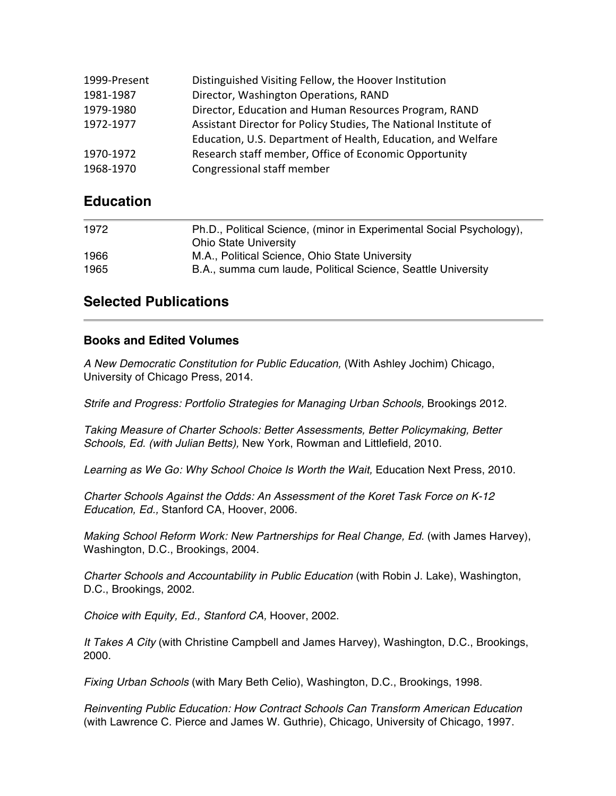| 1999-Present | Distinguished Visiting Fellow, the Hoover Institution            |
|--------------|------------------------------------------------------------------|
| 1981-1987    | Director, Washington Operations, RAND                            |
| 1979-1980    | Director, Education and Human Resources Program, RAND            |
| 1972-1977    | Assistant Director for Policy Studies, The National Institute of |
|              | Education, U.S. Department of Health, Education, and Welfare     |
| 1970-1972    | Research staff member, Office of Economic Opportunity            |
| 1968-1970    | Congressional staff member                                       |

## **Education**

| 1972 | Ph.D., Political Science, (minor in Experimental Social Psychology),<br><b>Ohio State University</b> |
|------|------------------------------------------------------------------------------------------------------|
| 1966 | M.A., Political Science, Ohio State University                                                       |
| 1965 | B.A., summa cum laude, Political Science, Seattle University                                         |

## **Selected Publications**

#### **Books and Edited Volumes**

*A New Democratic Constitution for Public Education,* (With Ashley Jochim) Chicago, University of Chicago Press, 2014.

*Strife and Progress: Portfolio Strategies for Managing Urban Schools, Brookings 2012.* 

*Taking Measure of Charter Schools: Better Assessments, Better Policymaking, Better Schools, Ed. (with Julian Betts),* New York, Rowman and Littlefield, 2010.

Learning as We Go: Why School Choice Is Worth the Wait, Education Next Press, 2010.

*Charter Schools Against the Odds: An Assessment of the Koret Task Force on K-12 Education, Ed.,* Stanford CA, Hoover, 2006.

*Making School Reform Work: New Partnerships for Real Change, Ed. (with James Harvey),* Washington, D.C., Brookings, 2004.

*Charter Schools and Accountability in Public Education* (with Robin J. Lake), Washington, D.C., Brookings, 2002.

*Choice with Equity, Ed., Stanford CA,* Hoover, 2002.

*It Takes A City* (with Christine Campbell and James Harvey), Washington, D.C., Brookings, 2000.

*Fixing Urban Schools* (with Mary Beth Celio), Washington, D.C., Brookings, 1998.

*Reinventing Public Education: How Contract Schools Can Transform American Education*  (with Lawrence C. Pierce and James W. Guthrie), Chicago, University of Chicago, 1997.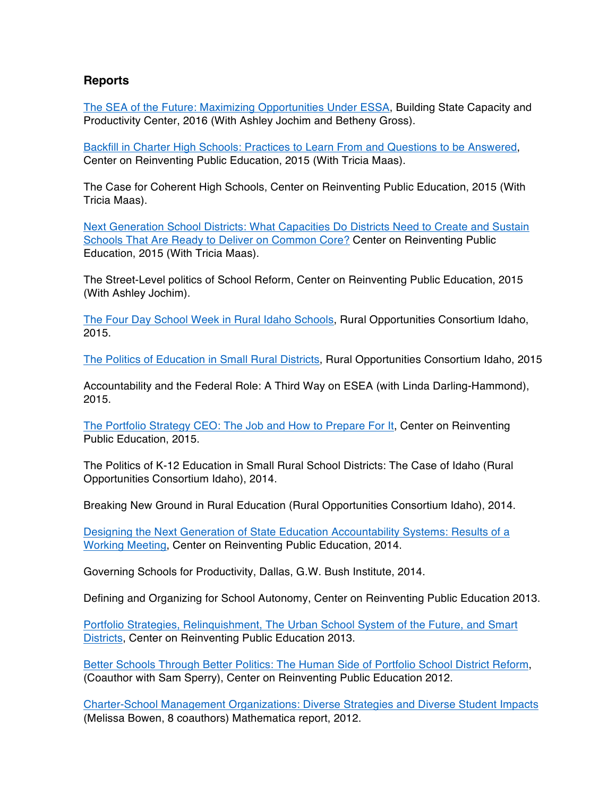#### **Reports**

The SEA of the Future: Maximizing Opportunities Under ESSA, Building State Capacity and Productivity Center, 2016 (With Ashley Jochim and Betheny Gross).

Backfill in Charter High Schools: Practices to Learn From and Questions to be Answered, Center on Reinventing Public Education, 2015 (With Tricia Maas).

The Case for Coherent High Schools, Center on Reinventing Public Education, 2015 (With Tricia Maas).

Next Generation School Districts: What Capacities Do Districts Need to Create and Sustain Schools That Are Ready to Deliver on Common Core? Center on Reinventing Public Education, 2015 (With Tricia Maas).

The Street-Level politics of School Reform, Center on Reinventing Public Education, 2015 (With Ashley Jochim).

The Four Day School Week in Rural Idaho Schools, Rural Opportunities Consortium Idaho, 2015.

The Politics of Education in Small Rural Districts, Rural Opportunities Consortium Idaho, 2015

Accountability and the Federal Role: A Third Way on ESEA (with Linda Darling-Hammond), 2015.

The Portfolio Strategy CEO: The Job and How to Prepare For It, Center on Reinventing Public Education, 2015.

The Politics of K-12 Education in Small Rural School Districts: The Case of Idaho (Rural Opportunities Consortium Idaho), 2014.

Breaking New Ground in Rural Education (Rural Opportunities Consortium Idaho), 2014.

Designing the Next Generation of State Education Accountability Systems: Results of a Working Meeting, Center on Reinventing Public Education, 2014.

Governing Schools for Productivity, Dallas, G.W. Bush Institute, 2014.

Defining and Organizing for School Autonomy, Center on Reinventing Public Education 2013.

Portfolio Strategies, Relinquishment, The Urban School System of the Future, and Smart Districts, Center on Reinventing Public Education 2013.

Better Schools Through Better Politics: The Human Side of Portfolio School District Reform, (Coauthor with Sam Sperry), Center on Reinventing Public Education 2012.

Charter-School Management Organizations: Diverse Strategies and Diverse Student Impacts (Melissa Bowen, 8 coauthors) Mathematica report, 2012.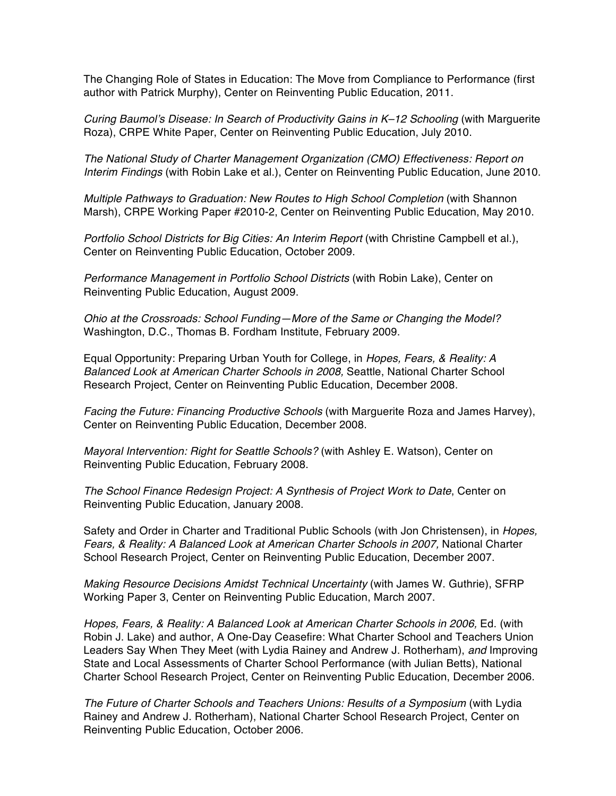The Changing Role of States in Education: The Move from Compliance to Performance (first author with Patrick Murphy), Center on Reinventing Public Education, 2011.

*Curing Baumol's Disease: In Search of Productivity Gains in K–12 Schooling (with Marguerite* Roza), CRPE White Paper, Center on Reinventing Public Education, July 2010.

*The National Study of Charter Management Organization (CMO) Effectiveness: Report on Interim Findings* (with Robin Lake et al.), Center on Reinventing Public Education, June 2010.

*Multiple Pathways to Graduation: New Routes to High School Completion* (with Shannon Marsh), CRPE Working Paper #2010-2, Center on Reinventing Public Education, May 2010.

*Portfolio School Districts for Big Cities: An Interim Report (with Christine Campbell et al.),* Center on Reinventing Public Education, October 2009.

*Performance Management in Portfolio School Districts* (with Robin Lake), Center on Reinventing Public Education, August 2009.

*Ohio at the Crossroads: School Funding—More of the Same or Changing the Model?* Washington, D.C., Thomas B. Fordham Institute, February 2009.

Equal Opportunity: Preparing Urban Youth for College, in *Hopes, Fears, & Reality: A Balanced Look at American Charter Schools in 2008,* Seattle, National Charter School Research Project, Center on Reinventing Public Education, December 2008.

*Facing the Future: Financing Productive Schools* (with Marguerite Roza and James Harvey), Center on Reinventing Public Education, December 2008.

*Mayoral Intervention: Right for Seattle Schools?* (with Ashley E. Watson), Center on Reinventing Public Education, February 2008.

*The School Finance Redesign Project: A Synthesis of Project Work to Date*, Center on Reinventing Public Education, January 2008.

Safety and Order in Charter and Traditional Public Schools (with Jon Christensen), in *Hopes, Fears, & Reality: A Balanced Look at American Charter Schools in 2007,* National Charter School Research Project, Center on Reinventing Public Education, December 2007.

*Making Resource Decisions Amidst Technical Uncertainty* (with James W. Guthrie), SFRP Working Paper 3, Center on Reinventing Public Education, March 2007.

Hopes, Fears, & Reality: A Balanced Look at American Charter Schools in 2006, Ed. (with Robin J. Lake) and author, A One-Day Ceasefire: What Charter School and Teachers Union Leaders Say When They Meet (with Lydia Rainey and Andrew J. Rotherham), *and* Improving State and Local Assessments of Charter School Performance (with Julian Betts), National Charter School Research Project, Center on Reinventing Public Education, December 2006.

*The Future of Charter Schools and Teachers Unions: Results of a Symposium* (with Lydia Rainey and Andrew J. Rotherham), National Charter School Research Project, Center on Reinventing Public Education, October 2006.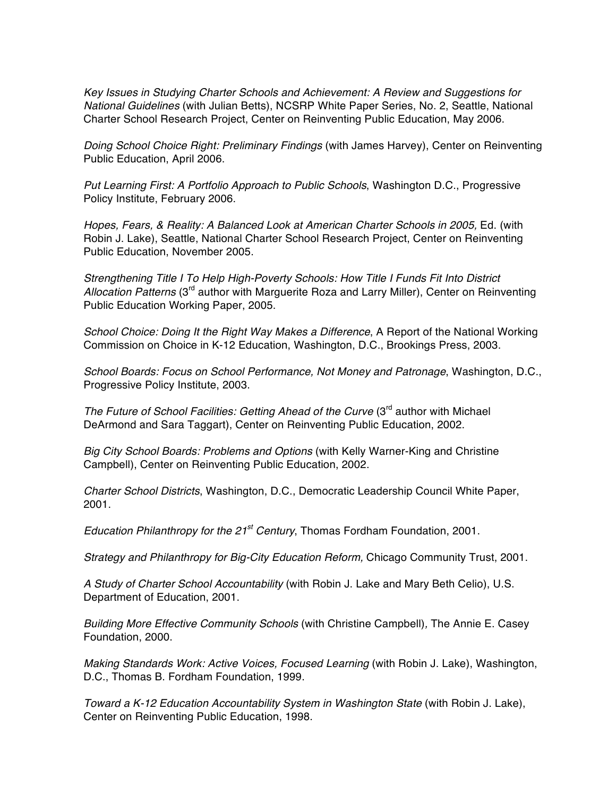*Key Issues in Studying Charter Schools and Achievement: A Review and Suggestions for National Guidelines* (with Julian Betts), NCSRP White Paper Series, No. 2, Seattle, National Charter School Research Project, Center on Reinventing Public Education, May 2006.

*Doing School Choice Right: Preliminary Findings* (with James Harvey), Center on Reinventing Public Education, April 2006.

*Put Learning First: A Portfolio Approach to Public Schools*, Washington D.C., Progressive Policy Institute, February 2006.

Hopes, Fears, & Reality: A Balanced Look at American Charter Schools in 2005, Ed. (with Robin J. Lake), Seattle, National Charter School Research Project, Center on Reinventing Public Education, November 2005.

*Strengthening Title I To Help High-Poverty Schools: How Title I Funds Fit Into District Allocation Patterns* (3rd author with Marguerite Roza and Larry Miller), Center on Reinventing Public Education Working Paper, 2005.

*School Choice: Doing It the Right Way Makes a Difference*, A Report of the National Working Commission on Choice in K-12 Education, Washington, D.C., Brookings Press, 2003.

*School Boards: Focus on School Performance, Not Money and Patronage*, Washington, D.C., Progressive Policy Institute, 2003.

*The Future of School Facilities: Getting Ahead of the Curve* (3<sup>rd</sup> author with Michael DeArmond and Sara Taggart), Center on Reinventing Public Education, 2002.

*Big City School Boards: Problems and Options* (with Kelly Warner-King and Christine Campbell), Center on Reinventing Public Education, 2002.

*Charter School Districts*, Washington, D.C., Democratic Leadership Council White Paper, 2001.

*Education Philanthropy for the 21st Century*, Thomas Fordham Foundation, 2001.

*Strategy and Philanthropy for Big-City Education Reform,* Chicago Community Trust, 2001.

*A Study of Charter School Accountability* (with Robin J. Lake and Mary Beth Celio), U.S. Department of Education, 2001.

*Building More Effective Community Schools* (with Christine Campbell)*,* The Annie E. Casey Foundation, 2000.

*Making Standards Work: Active Voices, Focused Learning (with Robin J. Lake), Washington,* D.C., Thomas B. Fordham Foundation, 1999.

*Toward a K-12 Education Accountability System in Washington State* (with Robin J. Lake), Center on Reinventing Public Education, 1998.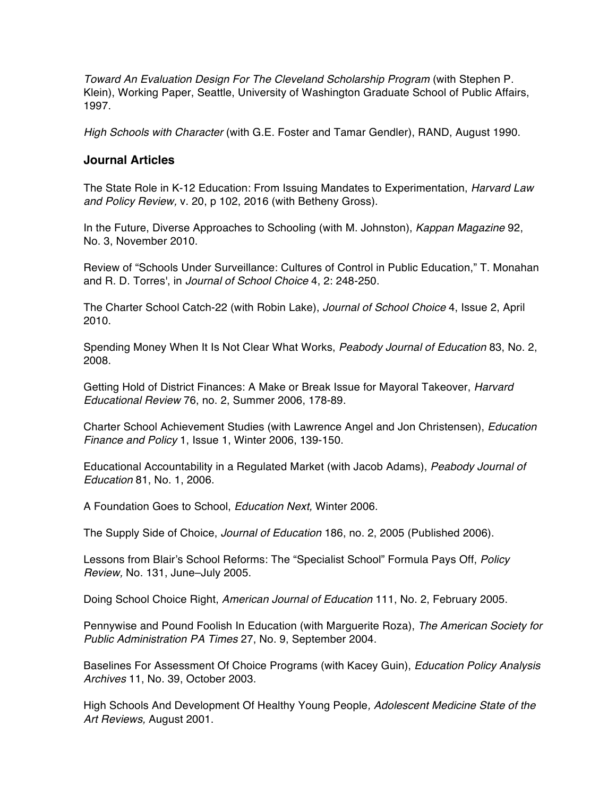*Toward An Evaluation Design For The Cleveland Scholarship Program* (with Stephen P. Klein), Working Paper, Seattle, University of Washington Graduate School of Public Affairs, 1997.

*High Schools with Character* (with G.E. Foster and Tamar Gendler), RAND, August 1990.

#### **Journal Articles**

The State Role in K-12 Education: From Issuing Mandates to Experimentation, *Harvard Law and Policy Review,* v. 20, p 102, 2016 (with Betheny Gross).

In the Future, Diverse Approaches to Schooling (with M. Johnston), *Kappan Magazine* 92, No. 3, November 2010.

Review of "Schools Under Surveillance: Cultures of Control in Public Education," T. Monahan and R. D. Torres', in *Journal of School Choice* 4, 2: 248-250.

The Charter School Catch-22 (with Robin Lake), *Journal of School Choice* 4, Issue 2, April 2010.

Spending Money When It Is Not Clear What Works, *Peabody Journal of Education* 83, No. 2, 2008.

Getting Hold of District Finances: A Make or Break Issue for Mayoral Takeover, *Harvard Educational Review* 76, no. 2, Summer 2006, 178-89.

Charter School Achievement Studies (with Lawrence Angel and Jon Christensen), *Education Finance and Policy* 1, Issue 1, Winter 2006, 139-150.

Educational Accountability in a Regulated Market (with Jacob Adams), *Peabody Journal of Education* 81, No. 1, 2006.

A Foundation Goes to School, *Education Next,* Winter 2006.

The Supply Side of Choice, *Journal of Education* 186, no. 2, 2005 (Published 2006).

Lessons from Blair's School Reforms: The "Specialist School" Formula Pays Off, *Policy Review,* No. 131, June–July 2005.

Doing School Choice Right, *American Journal of Education* 111, No. 2, February 2005.

Pennywise and Pound Foolish In Education (with Marguerite Roza), *The American Society for Public Administration PA Times* 27, No. 9, September 2004.

Baselines For Assessment Of Choice Programs (with Kacey Guin), *Education Policy Analysis Archives* 11, No. 39, October 2003.

High Schools And Development Of Healthy Young People*, Adolescent Medicine State of the Art Reviews,* August 2001.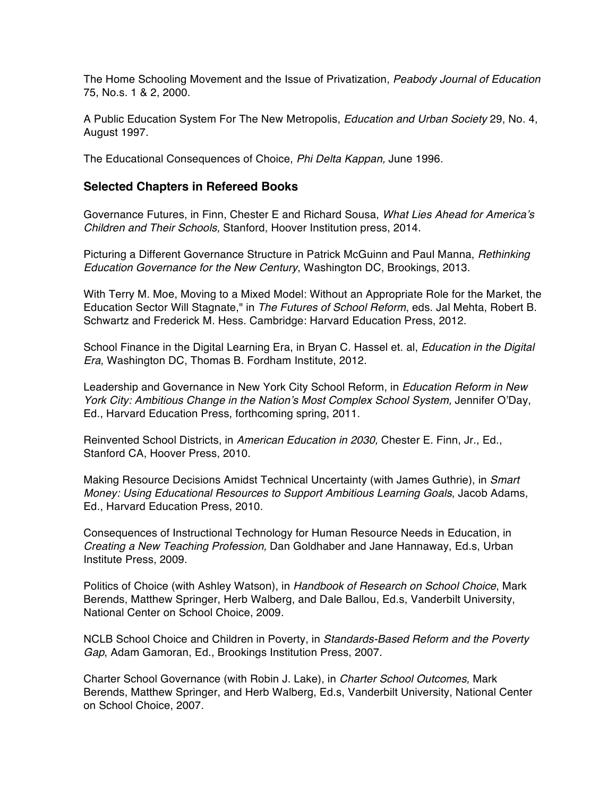The Home Schooling Movement and the Issue of Privatization, *Peabody Journal of Education*  75, No.s. 1 & 2, 2000.

A Public Education System For The New Metropolis, *Education and Urban Society* 29, No. 4, August 1997.

The Educational Consequences of Choice, *Phi Delta Kappan,* June 1996.

#### **Selected Chapters in Refereed Books**

Governance Futures, in Finn, Chester E and Richard Sousa, *What Lies Ahead for America's Children and Their Schools,* Stanford, Hoover Institution press, 2014.

Picturing a Different Governance Structure in Patrick McGuinn and Paul Manna, *Rethinking Education Governance for the New Century*, Washington DC, Brookings, 2013.

With Terry M. Moe, Moving to a Mixed Model: Without an Appropriate Role for the Market, the Education Sector Will Stagnate," in *The Futures of School Reform*, eds. Jal Mehta, Robert B. Schwartz and Frederick M. Hess. Cambridge: Harvard Education Press, 2012.

School Finance in the Digital Learning Era, in Bryan C. Hassel et. al, *Education in the Digital Era*, Washington DC, Thomas B. Fordham Institute, 2012.

Leadership and Governance in New York City School Reform, in *Education Reform in New York City: Ambitious Change in the Nation's Most Complex School System,* Jennifer O'Day, Ed., Harvard Education Press, forthcoming spring, 2011.

Reinvented School Districts, in *American Education in 2030,* Chester E. Finn, Jr., Ed., Stanford CA, Hoover Press, 2010.

Making Resource Decisions Amidst Technical Uncertainty (with James Guthrie), in *Smart Money: Using Educational Resources to Support Ambitious Learning Goals*, Jacob Adams, Ed., Harvard Education Press, 2010.

Consequences of Instructional Technology for Human Resource Needs in Education, in *Creating a New Teaching Profession,* Dan Goldhaber and Jane Hannaway, Ed.s, Urban Institute Press, 2009.

Politics of Choice (with Ashley Watson), in *Handbook of Research on School Choice*, Mark Berends, Matthew Springer, Herb Walberg, and Dale Ballou, Ed.s, Vanderbilt University, National Center on School Choice, 2009.

NCLB School Choice and Children in Poverty, in *Standards-Based Reform and the Poverty Gap*, Adam Gamoran, Ed., Brookings Institution Press, 2007.

Charter School Governance (with Robin J. Lake), in *Charter School Outcomes,* Mark Berends, Matthew Springer, and Herb Walberg, Ed.s, Vanderbilt University, National Center on School Choice, 2007.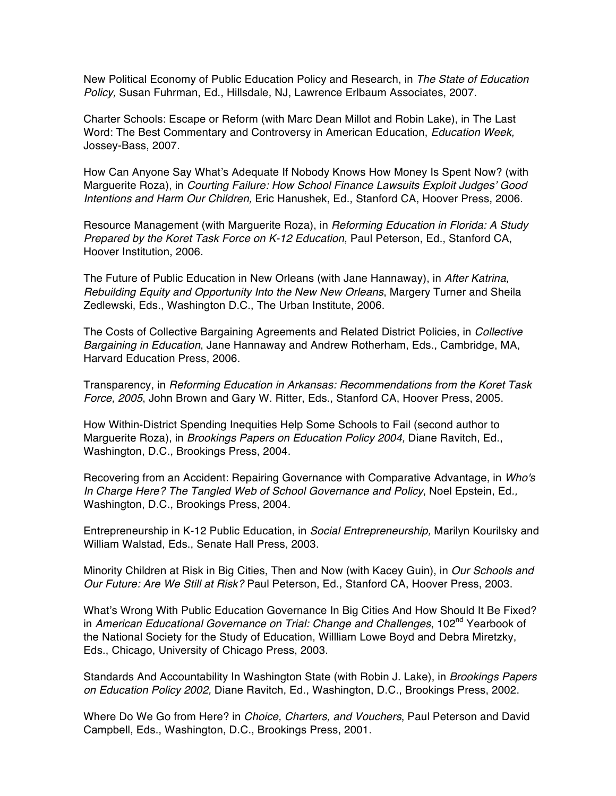New Political Economy of Public Education Policy and Research, in *The State of Education Policy,* Susan Fuhrman, Ed., Hillsdale, NJ, Lawrence Erlbaum Associates, 2007.

Charter Schools: Escape or Reform (with Marc Dean Millot and Robin Lake), in The Last Word: The Best Commentary and Controversy in American Education, *Education Week,* Jossey-Bass, 2007.

How Can Anyone Say What's Adequate If Nobody Knows How Money Is Spent Now? (with Marguerite Roza), in *Courting Failure: How School Finance Lawsuits Exploit Judges' Good Intentions and Harm Our Children,* Eric Hanushek, Ed., Stanford CA, Hoover Press, 2006.

Resource Management (with Marguerite Roza), in *Reforming Education in Florida: A Study Prepared by the Koret Task Force on K-12 Education*, Paul Peterson, Ed., Stanford CA, Hoover Institution, 2006.

The Future of Public Education in New Orleans (with Jane Hannaway), in *After Katrina, Rebuilding Equity and Opportunity Into the New New Orleans*, Margery Turner and Sheila Zedlewski, Eds., Washington D.C., The Urban Institute, 2006.

The Costs of Collective Bargaining Agreements and Related District Policies, in *Collective Bargaining in Education*, Jane Hannaway and Andrew Rotherham, Eds., Cambridge, MA, Harvard Education Press, 2006.

Transparency, in *Reforming Education in Arkansas: Recommendations from the Koret Task Force, 2005*, John Brown and Gary W. Ritter, Eds., Stanford CA, Hoover Press, 2005.

How Within-District Spending Inequities Help Some Schools to Fail (second author to Marguerite Roza), in *Brookings Papers on Education Policy 2004,* Diane Ravitch, Ed., Washington, D.C., Brookings Press, 2004.

Recovering from an Accident: Repairing Governance with Comparative Advantage, in *Who's In Charge Here? The Tangled Web of School Governance and Policy*, Noel Epstein, Ed*.,*  Washington, D.C., Brookings Press, 2004.

Entrepreneurship in K-12 Public Education, in *Social Entrepreneurship,* Marilyn Kourilsky and William Walstad, Eds., Senate Hall Press, 2003.

Minority Children at Risk in Big Cities, Then and Now (with Kacey Guin), in *Our Schools and Our Future: Are We Still at Risk?* Paul Peterson, Ed., Stanford CA, Hoover Press, 2003.

What's Wrong With Public Education Governance In Big Cities And How Should It Be Fixed? in *American Educational Governance on Trial: Change and Challenges*, 102<sup>nd</sup> Yearbook of the National Society for the Study of Education, Willliam Lowe Boyd and Debra Miretzky, Eds., Chicago, University of Chicago Press, 2003.

Standards And Accountability In Washington State (with Robin J. Lake), in *Brookings Papers on Education Policy 2002,* Diane Ravitch, Ed., Washington, D.C., Brookings Press, 2002.

Where Do We Go from Here? in *Choice, Charters, and Vouchers*, Paul Peterson and David Campbell, Eds., Washington, D.C., Brookings Press, 2001.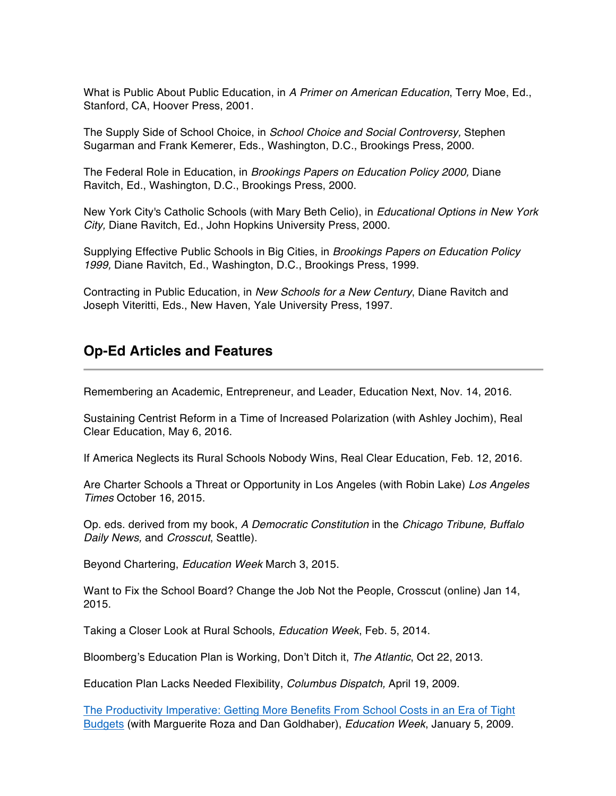What is Public About Public Education, in *A Primer on American Education*, Terry Moe, Ed., Stanford, CA, Hoover Press, 2001.

The Supply Side of School Choice, in *School Choice and Social Controversy,* Stephen Sugarman and Frank Kemerer, Eds., Washington, D.C., Brookings Press, 2000.

The Federal Role in Education, in *Brookings Papers on Education Policy 2000,* Diane Ravitch, Ed., Washington, D.C., Brookings Press, 2000.

New York City's Catholic Schools (with Mary Beth Celio), in *Educational Options in New York City,* Diane Ravitch, Ed., John Hopkins University Press, 2000.

Supplying Effective Public Schools in Big Cities, in *Brookings Papers on Education Policy 1999,* Diane Ravitch, Ed., Washington, D.C., Brookings Press, 1999.

Contracting in Public Education, in *New Schools for a New Century*, Diane Ravitch and Joseph Viteritti, Eds., New Haven, Yale University Press, 1997.

### **Op-Ed Articles and Features**

Remembering an Academic, Entrepreneur, and Leader, Education Next, Nov. 14, 2016.

Sustaining Centrist Reform in a Time of Increased Polarization (with Ashley Jochim), Real Clear Education, May 6, 2016.

If America Neglects its Rural Schools Nobody Wins, Real Clear Education, Feb. 12, 2016.

Are Charter Schools a Threat or Opportunity in Los Angeles (with Robin Lake) *Los Angeles Times* October 16, 2015.

Op. eds. derived from my book, *A Democratic Constitution* in the *Chicago Tribune, Buffalo Daily News,* and *Crosscut*, Seattle).

Beyond Chartering, *Education Week* March 3, 2015.

Want to Fix the School Board? Change the Job Not the People, Crosscut (online) Jan 14, 2015.

Taking a Closer Look at Rural Schools, *Education Week*, Feb. 5, 2014.

Bloomberg's Education Plan is Working, Don't Ditch it, *The Atlantic*, Oct 22, 2013.

Education Plan Lacks Needed Flexibility, *Columbus Dispatch,* April 19, 2009.

The Productivity Imperative: Getting More Benefits From School Costs in an Era of Tight Budgets (with Marguerite Roza and Dan Goldhaber), *Education Week*, January 5, 2009.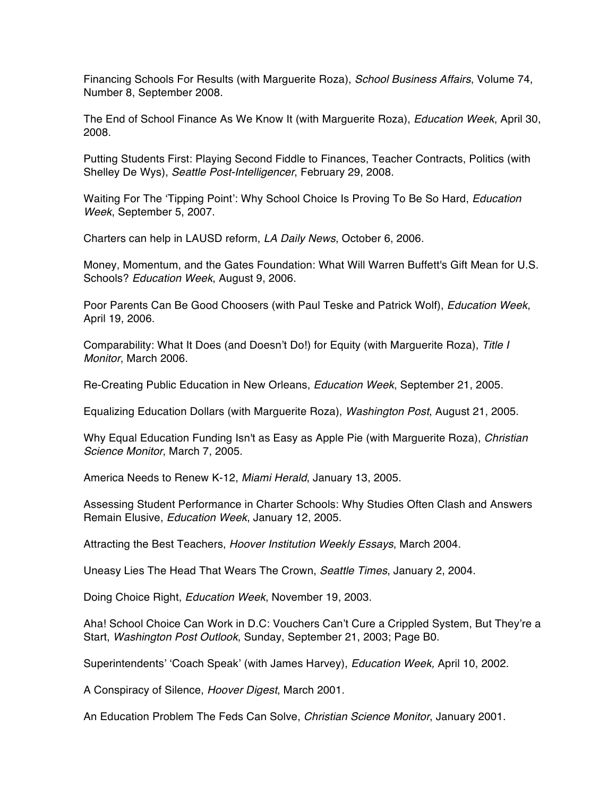Financing Schools For Results (with Marguerite Roza), *School Business Affairs*, Volume 74, Number 8, September 2008.

The End of School Finance As We Know It (with Marguerite Roza), *Education Week*, April 30, 2008.

Putting Students First: Playing Second Fiddle to Finances, Teacher Contracts, Politics (with Shelley De Wys), *Seattle Post-Intelligencer*, February 29, 2008.

Waiting For The 'Tipping Point': Why School Choice Is Proving To Be So Hard, *Education Week*, September 5, 2007.

Charters can help in LAUSD reform, *LA Daily News*, October 6, 2006.

Money, Momentum, and the Gates Foundation: What Will Warren Buffett's Gift Mean for U.S. Schools? *Education Week*, August 9, 2006.

Poor Parents Can Be Good Choosers (with Paul Teske and Patrick Wolf), *Education Week*, April 19, 2006.

Comparability: What It Does (and Doesn't Do!) for Equity (with Marguerite Roza), *Title I Monitor*, March 2006.

Re-Creating Public Education in New Orleans, *Education Week*, September 21, 2005.

Equalizing Education Dollars (with Marguerite Roza), *Washington Post*, August 21, 2005.

Why Equal Education Funding Isn't as Easy as Apple Pie (with Marguerite Roza), *Christian Science Monitor*, March 7, 2005.

America Needs to Renew K-12, *Miami Herald*, January 13, 2005.

Assessing Student Performance in Charter Schools: Why Studies Often Clash and Answers Remain Elusive, *Education Week*, January 12, 2005.

Attracting the Best Teachers, *Hoover Institution Weekly Essays*, March 2004.

Uneasy Lies The Head That Wears The Crown, *Seattle Times*, January 2, 2004.

Doing Choice Right, *Education Week*, November 19, 2003.

Aha! School Choice Can Work in D.C: Vouchers Can't Cure a Crippled System, But They're a Start, *Washington Post Outlook*, Sunday, September 21, 2003; Page B0.

Superintendents' 'Coach Speak' (with James Harvey), *Education Week,* April 10, 2002.

A Conspiracy of Silence, *Hoover Digest*, March 2001.

An Education Problem The Feds Can Solve, *Christian Science Monitor*, January 2001.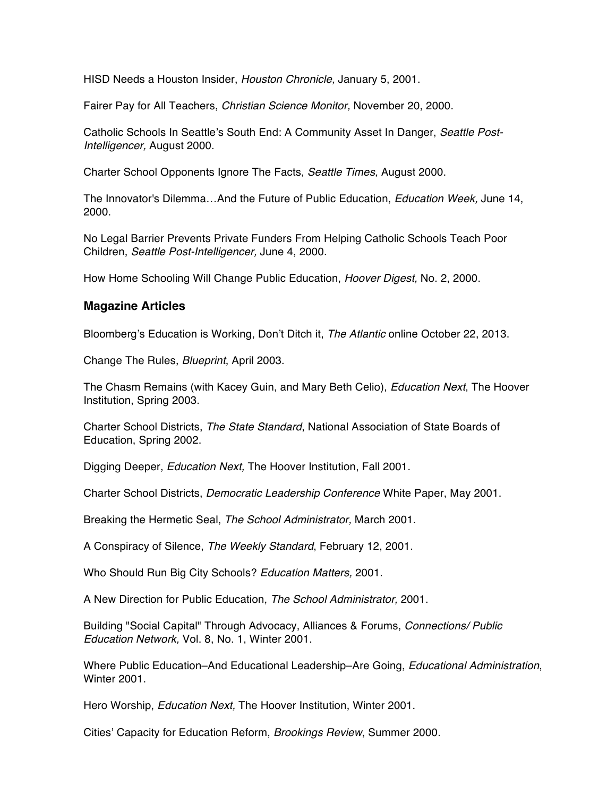HISD Needs a Houston Insider, *Houston Chronicle,* January 5, 2001.

Fairer Pay for All Teachers, *Christian Science Monitor,* November 20, 2000.

Catholic Schools In Seattle's South End: A Community Asset In Danger, *Seattle Post-Intelligencer,* August 2000.

Charter School Opponents Ignore The Facts, *Seattle Times,* August 2000.

The Innovator's Dilemma…And the Future of Public Education, *Education Week,* June 14, 2000.

No Legal Barrier Prevents Private Funders From Helping Catholic Schools Teach Poor Children, *Seattle Post-Intelligencer,* June 4, 2000.

How Home Schooling Will Change Public Education, *Hoover Digest,* No. 2, 2000.

#### **Magazine Articles**

Bloomberg's Education is Working, Don't Ditch it, *The Atlantic* online October 22, 2013.

Change The Rules, *Blueprint*, April 2003.

The Chasm Remains (with Kacey Guin, and Mary Beth Celio), *Education Next*, The Hoover Institution, Spring 2003.

Charter School Districts, *The State Standard*, National Association of State Boards of Education, Spring 2002.

Digging Deeper, *Education Next,* The Hoover Institution, Fall 2001.

Charter School Districts, *Democratic Leadership Conference* White Paper, May 2001.

Breaking the Hermetic Seal, *The School Administrator,* March 2001.

A Conspiracy of Silence, *The Weekly Standard*, February 12, 2001.

Who Should Run Big City Schools? *Education Matters,* 2001.

A New Direction for Public Education, *The School Administrator,* 2001.

Building "Social Capital" Through Advocacy, Alliances & Forums, *Connections/ Public Education Network,* Vol. 8, No. 1, Winter 2001.

Where Public Education–And Educational Leadership–Are Going, *Educational Administration*, Winter 2001.

Hero Worship, *Education Next,* The Hoover Institution, Winter 2001.

Cities' Capacity for Education Reform, *Brookings Review*, Summer 2000.